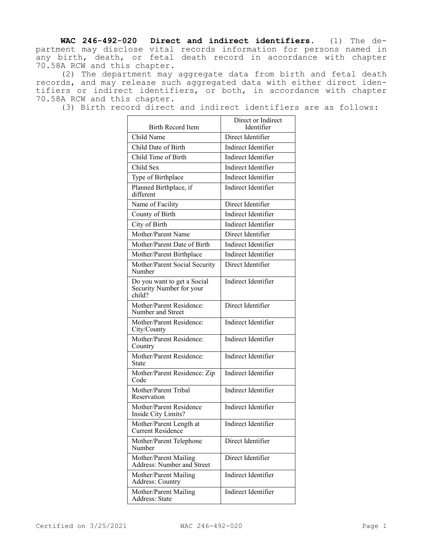**WAC 246-492-020 Direct and indirect identifiers.** (1) The department may disclose vital records information for persons named in any birth, death, or fetal death record in accordance with chapter 70.58A RCW and this chapter.

(2) The department may aggregate data from birth and fetal death records, and may release such aggregated data with either direct identifiers or indirect identifiers, or both, in accordance with chapter 70.58A RCW and this chapter.

(3) Birth record direct and indirect identifiers are as follows:

| Birth Record Item                                                 | Direct or Indirect<br>Identifier |
|-------------------------------------------------------------------|----------------------------------|
| Child Name                                                        | Direct Identifier                |
| Child Date of Birth                                               | <b>Indirect Identifier</b>       |
| Child Time of Birth                                               | Indirect Identifier              |
| Child Sex                                                         | Indirect Identifier              |
| Type of Birthplace                                                | <b>Indirect Identifier</b>       |
| Planned Birthplace, if<br>different                               | Indirect Identifier              |
| Name of Facility                                                  | Direct Identifier                |
| County of Birth                                                   | Indirect Identifier              |
| City of Birth                                                     | Indirect Identifier              |
| Mother/Parent Name                                                | Direct Identifier                |
| Mother/Parent Date of Birth                                       | Indirect Identifier              |
| Mother/Parent Birthplace                                          | Indirect Identifier              |
| Mother/Parent Social Security<br>Number                           | Direct Identifier                |
| Do you want to get a Social<br>Security Number for your<br>child? | Indirect Identifier              |
| Mother/Parent Residence:<br>Number and Street                     | Direct Identifier                |
| Mother/Parent Residence:<br>City/County                           | Indirect Identifier              |
| Mother/Parent Residence:<br>Country                               | Indirect Identifier              |
| Mother/Parent Residence:<br>State                                 | Indirect Identifier              |
| Mother/Parent Residence: Zip<br>Code                              | Indirect Identifier              |
| Mother/Parent Tribal<br>Reservation                               | Indirect Identifier              |
| Mother/Parent Residence<br>Inside City Limits?                    | Indirect Identifier              |
| Mother/Parent Length at<br><b>Current Residence</b>               | Indirect Identifier              |
| Mother/Parent Telephone<br>Number                                 | Direct Identifier                |
| Mother/Parent Mailing<br>Address: Number and Street               | Direct Identifier                |
| Mother/Parent Mailing<br>Address: Country                         | Indirect Identifier              |
| Mother/Parent Mailing<br>Address: State                           | Indirect Identifier              |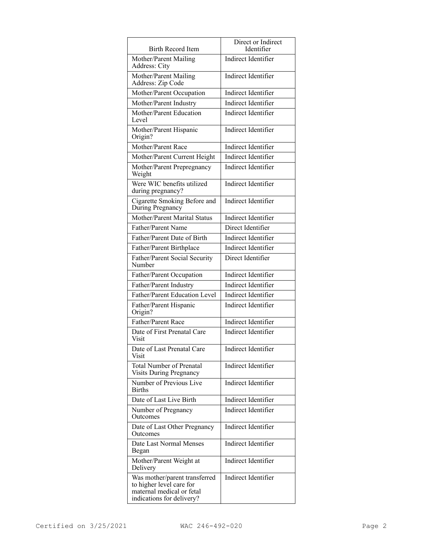| <b>Birth Record Item</b>                                                                                            | Direct or Indirect<br>Identifier |
|---------------------------------------------------------------------------------------------------------------------|----------------------------------|
| Mother/Parent Mailing<br>Address: City                                                                              | Indirect Identifier              |
| Mother/Parent Mailing<br>Address: Zip Code                                                                          | Indirect Identifier              |
| Mother/Parent Occupation                                                                                            | Indirect Identifier              |
| Mother/Parent Industry                                                                                              | Indirect Identifier              |
| Mother/Parent Education<br>Level                                                                                    | Indirect Identifier              |
| Mother/Parent Hispanic<br>Origin?                                                                                   | Indirect Identifier              |
| Mother/Parent Race                                                                                                  | Indirect Identifier              |
| Mother/Parent Current Height                                                                                        | Indirect Identifier              |
| Mother/Parent Prepregnancy<br>Weight                                                                                | Indirect Identifier              |
| Were WIC benefits utilized<br>during pregnancy?                                                                     | Indirect Identifier              |
| Cigarette Smoking Before and<br>During Pregnancy                                                                    | Indirect Identifier              |
| Mother/Parent Marital Status                                                                                        | Indirect Identifier              |
| Father/Parent Name                                                                                                  | Direct Identifier                |
| Father/Parent Date of Birth                                                                                         | Indirect Identifier              |
| Father/Parent Birthplace                                                                                            | Indirect Identifier              |
| Father/Parent Social Security<br>Number                                                                             | Direct Identifier                |
| Father/Parent Occupation                                                                                            | Indirect Identifier              |
| Father/Parent Industry                                                                                              | Indirect Identifier              |
| Father/Parent Education Level                                                                                       | Indirect Identifier              |
| Father/Parent Hispanic<br>Origin?                                                                                   | Indirect Identifier              |
| Father/Parent Race                                                                                                  | Indirect Identifier              |
| Date of First Prenatal Care<br>Visit                                                                                | Indirect Identifier              |
| Date of Last Prenatal Care<br>Visit                                                                                 | Indirect Identifier              |
| <b>Total Number of Prenatal</b><br><b>Visits During Pregnancy</b>                                                   | Indirect Identifier              |
| Number of Previous Live<br><b>Births</b>                                                                            | Indirect Identifier              |
| Date of Last Live Birth                                                                                             | <b>Indirect Identifier</b>       |
| Number of Pregnancy<br>Outcomes                                                                                     | <b>Indirect Identifier</b>       |
| Date of Last Other Pregnancy<br>Outcomes                                                                            | Indirect Identifier              |
| Date Last Normal Menses<br>Began                                                                                    | Indirect Identifier              |
| Mother/Parent Weight at<br>Delivery                                                                                 | Indirect Identifier              |
| Was mother/parent transferred<br>to higher level care for<br>maternal medical or fetal<br>indications for delivery? | Indirect Identifier              |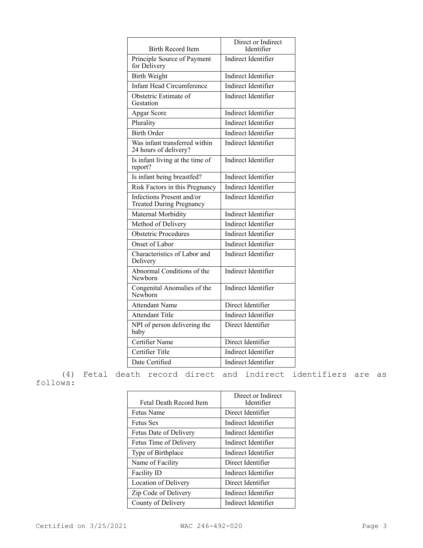| <b>Birth Record Item</b>                                     | Direct or Indirect<br>Identifier |
|--------------------------------------------------------------|----------------------------------|
| Principle Source of Payment<br>for Delivery                  | Indirect Identifier              |
| <b>Birth Weight</b>                                          | Indirect Identifier              |
| <b>Infant Head Circumference</b>                             | Indirect Identifier              |
| Obstetric Estimate of<br>Gestation                           | Indirect Identifier              |
| Apgar Score                                                  | Indirect Identifier              |
| Plurality                                                    | Indirect Identifier              |
| <b>Birth Order</b>                                           | Indirect Identifier              |
| Was infant transferred within<br>24 hours of delivery?       | Indirect Identifier              |
| Is infant living at the time of<br>report?                   | Indirect Identifier              |
| Is infant being breastfed?                                   | Indirect Identifier              |
| Risk Factors in this Pregnancy                               | Indirect Identifier              |
| Infections Present and/or<br><b>Treated During Pregnancy</b> | Indirect Identifier              |
| Maternal Morbidity                                           | Indirect Identifier              |
| Method of Delivery                                           | Indirect Identifier              |
| <b>Obstetric Procedures</b>                                  | Indirect Identifier              |
| Onset of Labor                                               | <b>Indirect Identifier</b>       |
| Characteristics of Labor and<br>Delivery                     | Indirect Identifier              |
| Abnormal Conditions of the<br>Newborn                        | Indirect Identifier              |
| Congenital Anomalies of the<br>Newhorn                       | Indirect Identifier              |
| <b>Attendant Name</b>                                        | Direct Identifier                |
| <b>Attendant Title</b>                                       | <b>Indirect Identifier</b>       |
| NPI of person delivering the<br>baby                         | Direct Identifier                |
| Certifier Name                                               | Direct Identifier                |
| Certifier Title                                              | Indirect Identifier              |
| Date Certified                                               | Indirect Identifier              |

(4) Fetal death record direct and indirect identifiers are as follows:

| Fetal Death Record Item | Direct or Indirect<br>Identifier |
|-------------------------|----------------------------------|
| Fetus Name              | Direct Identifier                |
| <b>Fetus Sex</b>        | Indirect Identifier              |
| Fetus Date of Delivery  | Indirect Identifier              |
| Fetus Time of Delivery  | Indirect Identifier              |
| Type of Birthplace      | Indirect Identifier              |
| Name of Facility        | Direct Identifier                |
| <b>Facility ID</b>      | Indirect Identifier              |
| Location of Delivery    | Direct Identifier                |
| Zip Code of Delivery    | Indirect Identifier              |
| County of Delivery      | Indirect Identifier              |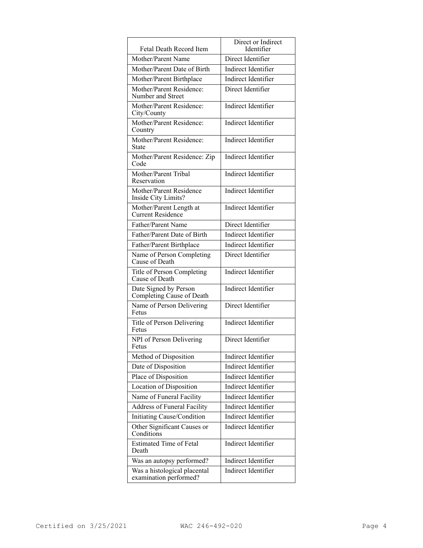| Fetal Death Record Item                                | Direct or Indirect<br>Identifier |
|--------------------------------------------------------|----------------------------------|
| Mother/Parent Name                                     | Direct Identifier                |
| Mother/Parent Date of Birth                            | Indirect Identifier              |
| Mother/Parent Birthplace                               | Indirect Identifier              |
| Mother/Parent Residence:<br>Number and Street          | Direct Identifier                |
| Mother/Parent Residence:<br>City/County                | Indirect Identifier              |
| Mother/Parent Residence:<br>Country                    | Indirect Identifier              |
| Mother/Parent Residence:<br>State                      | Indirect Identifier              |
| Mother/Parent Residence: Zip<br>Code                   | Indirect Identifier              |
| Mother/Parent Tribal<br>Reservation                    | Indirect Identifier              |
| Mother/Parent Residence<br>Inside City Limits?         | <b>Indirect Identifier</b>       |
| Mother/Parent Length at<br>Current Residence           | Indirect Identifier              |
| Father/Parent Name                                     | Direct Identifier                |
| Father/Parent Date of Birth                            | Indirect Identifier              |
| Father/Parent Birthplace                               | Indirect Identifier              |
| Name of Person Completing<br>Cause of Death            | Direct Identifier                |
| Title of Person Completing<br>Cause of Death           | Indirect Identifier              |
| Date Signed by Person<br>Completing Cause of Death     | Indirect Identifier              |
| Name of Person Delivering<br>Fetus                     | Direct Identifier                |
| Title of Person Delivering<br>Fetus                    | Indirect Identifier              |
| NPI of Person Delivering                               | Direct Identifier                |
| Method of Disposition                                  | Indirect Identifier              |
| Date of Disposition                                    | Indirect Identifier              |
| Place of Disposition                                   | Indirect Identifier              |
| Location of Disposition                                | <b>Indirect Identifier</b>       |
| Name of Funeral Facility                               | Indirect Identifier              |
| <b>Address of Funeral Facility</b>                     | Indirect Identifier              |
| Initiating Cause/Condition                             | Indirect Identifier              |
| Other Significant Causes or<br>Conditions              | Indirect Identifier              |
| <b>Estimated Time of Fetal</b><br>Death                | Indirect Identifier              |
| Was an autopsy performed?                              | Indirect Identifier              |
| Was a histological placental<br>examination performed? | Indirect Identifier              |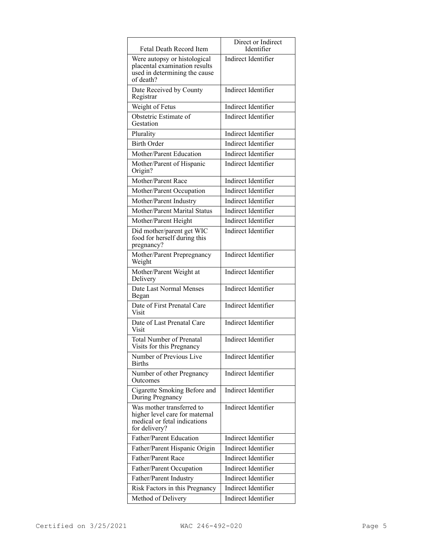| Fetal Death Record Item                                                                                      | Direct or Indirect<br>Identifier |
|--------------------------------------------------------------------------------------------------------------|----------------------------------|
| Were autopsy or histological<br>placental examination results<br>used in determining the cause<br>of death?  | Indirect Identifier              |
| Date Received by County<br>Registrar                                                                         | Indirect Identifier              |
| Weight of Fetus                                                                                              | Indirect Identifier              |
| Obstetric Estimate of<br>Gestation                                                                           | Indirect Identifier              |
| Plurality                                                                                                    | Indirect Identifier              |
| <b>Birth Order</b>                                                                                           | Indirect Identifier              |
| Mother/Parent Education                                                                                      | Indirect Identifier              |
| Mother/Parent of Hispanic<br>Origin?                                                                         | Indirect Identifier              |
| Mother/Parent Race                                                                                           | Indirect Identifier              |
| Mother/Parent Occupation                                                                                     | Indirect Identifier              |
| Mother/Parent Industry                                                                                       | Indirect Identifier              |
| Mother/Parent Marital Status                                                                                 | Indirect Identifier              |
| Mother/Parent Height                                                                                         | Indirect Identifier              |
| Did mother/parent get WIC<br>food for herself during this<br>pregnancy?                                      | Indirect Identifier              |
| Mother/Parent Prepregnancy<br>Weight                                                                         | Indirect Identifier              |
| Mother/Parent Weight at<br>Delivery                                                                          | Indirect Identifier              |
| Date Last Normal Menses<br>Began                                                                             | Indirect Identifier              |
| Date of First Prenatal Care<br>Visit                                                                         | Indirect Identifier              |
| Date of Last Prenatal Care<br>Visit                                                                          | Indirect Identifier              |
| <b>Total Number of Prenatal</b><br>Visits for this Pregnancy                                                 | Indirect Identifier              |
| Number of Previous Live<br><b>Births</b>                                                                     | Indirect Identifier              |
| Number of other Pregnancy<br>Outcomes                                                                        | Indirect Identifier              |
| Cigarette Smoking Before and<br>During Pregnancy                                                             | <b>Indirect Identifier</b>       |
| Was mother transferred to<br>higher level care for maternal<br>medical or fetal indications<br>for delivery? | Indirect Identifier              |
| Father/Parent Education                                                                                      | Indirect Identifier              |
| Father/Parent Hispanic Origin                                                                                | Indirect Identifier              |
| Father/Parent Race                                                                                           | Indirect Identifier              |
| Father/Parent Occupation                                                                                     | Indirect Identifier              |
| Father/Parent Industry                                                                                       | Indirect Identifier              |
| Risk Factors in this Pregnancy                                                                               | Indirect Identifier              |
| Method of Delivery                                                                                           | Indirect Identifier              |